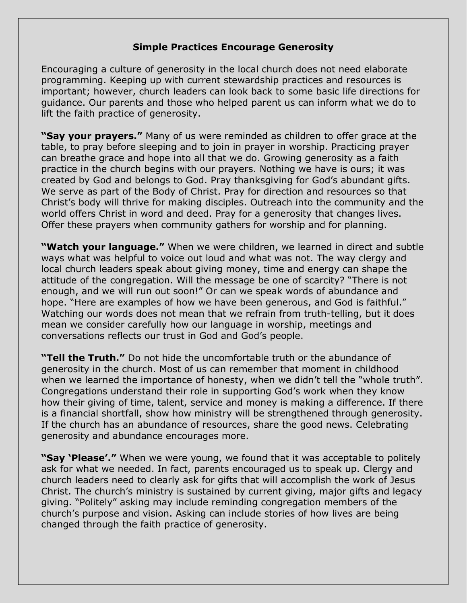## **Simple Practices Encourage Generosity**

Encouraging a culture of generosity in the local church does not need elaborate programming. Keeping up with current stewardship practices and resources is important; however, church leaders can look back to some basic life directions for guidance. Our parents and those who helped parent us can inform what we do to lift the faith practice of generosity.

**"Say your prayers."** Many of us were reminded as children to offer grace at the table, to pray before sleeping and to join in prayer in worship. Practicing prayer can breathe grace and hope into all that we do. Growing generosity as a faith practice in the church begins with our prayers. Nothing we have is ours; it was created by God and belongs to God. Pray thanksgiving for God's abundant gifts. We serve as part of the Body of Christ. Pray for direction and resources so that Christ's body will thrive for making disciples. Outreach into the community and the world offers Christ in word and deed. Pray for a generosity that changes lives. Offer these prayers when community gathers for worship and for planning.

**"Watch your language."** When we were children, we learned in direct and subtle ways what was helpful to voice out loud and what was not. The way clergy and local church leaders speak about giving money, time and energy can shape the attitude of the congregation. Will the message be one of scarcity? "There is not enough, and we will run out soon!" Or can we speak words of abundance and hope. "Here are examples of how we have been generous, and God is faithful." Watching our words does not mean that we refrain from truth-telling, but it does mean we consider carefully how our language in worship, meetings and conversations reflects our trust in God and God's people.

**"Tell the Truth."** Do not hide the uncomfortable truth or the abundance of generosity in the church. Most of us can remember that moment in childhood when we learned the importance of honesty, when we didn't tell the "whole truth". Congregations understand their role in supporting God's work when they know how their giving of time, talent, service and money is making a difference. If there is a financial shortfall, show how ministry will be strengthened through generosity. If the church has an abundance of resources, share the good news. Celebrating generosity and abundance encourages more.

**"Say 'Please'."** When we were young, we found that it was acceptable to politely ask for what we needed. In fact, parents encouraged us to speak up. Clergy and church leaders need to clearly ask for gifts that will accomplish the work of Jesus Christ. The church's ministry is sustained by current giving, major gifts and legacy giving. "Politely" asking may include reminding congregation members of the church's purpose and vision. Asking can include stories of how lives are being changed through the faith practice of generosity.